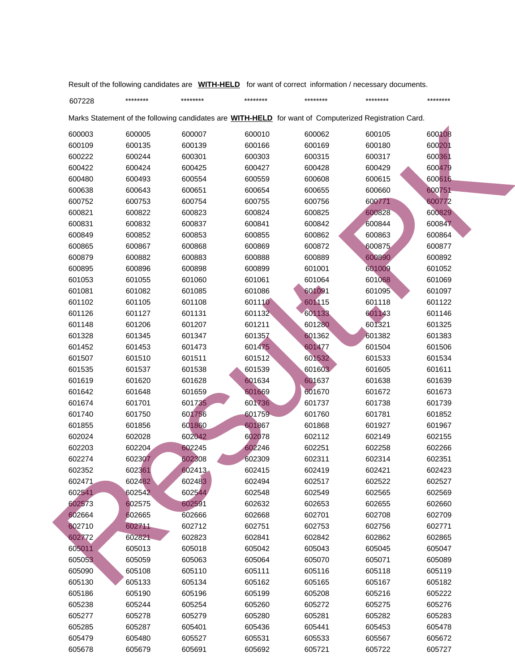| 607228 | ******** | ******** | ******** | ******** | ********                                                                                                     | ******** |
|--------|----------|----------|----------|----------|--------------------------------------------------------------------------------------------------------------|----------|
|        |          |          |          |          | Marks Statement of the following candidates are <b>WITH-HELD</b> for want of Computerized Registration Card. |          |
| 600003 | 600005   | 600007   | 600010   | 600062   | 600105                                                                                                       | 600108   |
| 600109 | 600135   | 600139   | 600166   | 600169   | 600180                                                                                                       | 600201   |
| 600222 | 600244   | 600301   | 600303   | 600315   | 600317                                                                                                       | 600361   |
| 600422 | 600424   | 600425   | 600427   | 600428   | 600429                                                                                                       | 600479   |
| 600480 | 600493   | 600554   | 600559   | 600608   | 600615                                                                                                       | 600616   |
| 600638 | 600643   | 600651   | 600654   | 600655   | 600660                                                                                                       | 600751   |
| 600752 | 600753   | 600754   | 600755   | 600756   | 600771                                                                                                       | 600772   |
| 600821 | 600822   | 600823   | 600824   | 600825   | 600828                                                                                                       | 600829   |
| 600831 | 600832   | 600837   | 600841   | 600842   | 600844                                                                                                       | 600847   |
| 600849 | 600852   | 600853   | 600855   | 600862   | 600863                                                                                                       | 600864   |
| 600865 | 600867   | 600868   | 600869   | 600872   | 600875                                                                                                       | 600877   |
| 600879 | 600882   | 600883   | 600888   | 600889   | 600890                                                                                                       | 600892   |
| 600895 | 600896   | 600898   | 600899   | 601001   | 601009                                                                                                       | 601052   |
| 601053 | 601055   | 601060   | 601061   | 601064   | 601068                                                                                                       | 601069   |
| 601081 | 601082   | 601085   | 601086   | 601091   | 601095                                                                                                       | 601097   |
| 601102 | 601105   | 601108   | 601110   | 601115   | 601118                                                                                                       | 601122   |
| 601126 | 601127   | 601131   | 601132   | 601133   | 601143                                                                                                       | 601146   |
| 601148 | 601206   | 601207   | 601211   | 601280   | 601321                                                                                                       | 601325   |
| 601328 | 601345   | 601347   | 601357   | 601362   | 601382                                                                                                       | 601383   |
| 601452 | 601453   | 601473   | 601475   | 601477   | 601504                                                                                                       | 601506   |
| 601507 | 601510   | 601511   | 601512   | 601532   | 601533                                                                                                       | 601534   |
| 601535 | 601537   | 601538   | 601539   | 601603   | 601605                                                                                                       | 601611   |
| 601619 | 601620   | 601628   | 601634   | 601637   | 601638                                                                                                       | 601639   |
| 601642 | 601648   | 601659   | 601669   | 601670   | 601672                                                                                                       | 601673   |
| 601674 | 601701   | 601735   | 601736   | 601737   | 601738                                                                                                       | 601739   |
| 601740 | 601750   | 601756   | 601759   | 601760   | 601781                                                                                                       | 601852   |
| 601855 | 601856   | 601860   | 601867   | 601868   | 601927                                                                                                       | 601967   |
| 602024 | 602028   | 602042   | 602078   | 602112   | 602149                                                                                                       | 602155   |
| 602203 | 602204   | 602245   | 602246   | 602251   | 602258                                                                                                       | 602266   |
| 602274 | 602307   | 602308   | 602309   | 602311   | 602314                                                                                                       | 602351   |
| 602352 | 602361   | 602413   | 602415   | 602419   | 602421                                                                                                       | 602423   |
| 602471 | 602482   | 602483   | 602494   | 602517   | 602522                                                                                                       | 602527   |
| 602541 | 602542   | 602544   | 602548   | 602549   | 602565                                                                                                       | 602569   |
| 602573 | 602575   | 602591   | 602632   | 602653   | 602655                                                                                                       | 602660   |
| 602664 | 602665   | 602666   | 602668   | 602701   | 602708                                                                                                       | 602709   |
| 602710 | 602711   | 602712   | 602751   | 602753   | 602756                                                                                                       | 602771   |
| 602772 | 602821   | 602823   | 602841   | 602842   | 602862                                                                                                       | 602865   |
| 605011 | 605013   | 605018   | 605042   | 605043   | 605045                                                                                                       | 605047   |
| 605053 | 605059   | 605063   | 605064   | 605070   | 605071                                                                                                       | 605089   |
| 605090 | 605108   | 605110   | 605111   | 605116   | 605118                                                                                                       | 605119   |
| 605130 | 605133   | 605134   | 605162   | 605165   | 605167                                                                                                       | 605182   |
| 605186 | 605190   | 605196   | 605199   | 605208   | 605216                                                                                                       | 605222   |
| 605238 | 605244   | 605254   | 605260   | 605272   | 605275                                                                                                       | 605276   |
| 605277 | 605278   | 605279   | 605280   | 605281   | 605282                                                                                                       | 605283   |
| 605285 | 605287   | 605401   | 605436   | 605441   | 605453                                                                                                       | 605478   |
| 605479 | 605480   | 605527   | 605531   | 605533   | 605567                                                                                                       | 605672   |
| 605678 | 605679   | 605691   | 605692   | 605721   | 605722                                                                                                       | 605727   |

Result of the following candidates are **WITH-HELD** for want of correct information / necessary documents.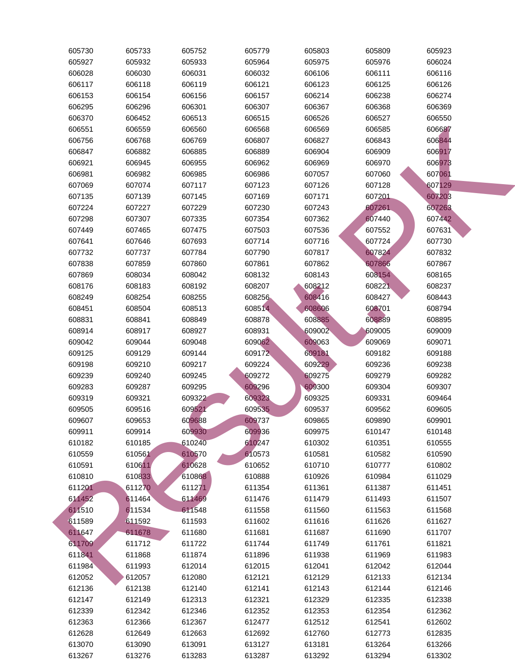| 605730 | 605733 | 605752 | 605779 | 605803 | 605809 | 605923 |
|--------|--------|--------|--------|--------|--------|--------|
| 605927 | 605932 | 605933 | 605964 | 605975 | 605976 | 606024 |
| 606028 | 606030 | 606031 | 606032 | 606106 | 606111 | 606116 |
| 606117 | 606118 | 606119 | 606121 | 606123 | 606125 | 606126 |
| 606153 | 606154 | 606156 | 606157 | 606214 | 606238 | 606274 |
| 606295 | 606296 | 606301 | 606307 | 606367 | 606368 | 606369 |
| 606370 | 606452 | 606513 | 606515 | 606526 | 606527 | 606550 |
| 606551 | 606559 | 606560 | 606568 | 606569 | 606585 | 606687 |
| 606756 | 606768 | 606769 | 606807 | 606827 | 606843 | 606844 |
| 606847 | 606882 | 606885 | 606889 | 606904 | 606909 | 606917 |
| 606921 | 606945 | 606955 | 606962 | 606969 | 606970 | 606973 |
| 606981 | 606982 | 606985 | 606986 | 607057 | 607060 | 607061 |
| 607069 | 607074 | 607117 | 607123 | 607126 | 607128 | 607129 |
| 607135 | 607139 | 607145 | 607169 | 607171 | 607201 | 607203 |
| 607224 | 607227 | 607229 | 607230 | 607243 | 607261 | 607263 |
| 607298 | 607307 | 607335 | 607354 | 607362 | 607440 | 607442 |
| 607449 | 607465 | 607475 | 607503 | 607536 | 607552 | 607631 |
| 607641 | 607646 | 607693 | 607714 | 607716 | 607724 | 607730 |
| 607732 | 607737 | 607784 | 607790 | 607817 | 607824 | 607832 |
| 607838 | 607859 | 607860 | 607861 | 607862 | 607866 | 607867 |
| 607869 | 608034 | 608042 | 608132 | 608143 | 608154 | 608165 |
| 608176 | 608183 | 608192 | 608207 | 608212 | 608221 | 608237 |
| 608249 | 608254 | 608255 | 608256 | 608416 | 608427 | 608443 |
| 608451 | 608504 | 608513 | 608514 | 608606 | 608701 | 608794 |
| 608831 | 608841 | 608849 | 608878 | 608885 | 608889 | 608895 |
| 608914 | 608917 | 608927 | 608931 | 609002 | 609005 | 609009 |
| 609042 | 609044 | 609048 | 609062 | 609063 | 609069 | 609071 |
| 609125 | 609129 | 609144 | 609172 | 609181 | 609182 | 609188 |
| 609198 | 609210 | 609217 | 609224 | 609229 | 609236 | 609238 |
| 609239 | 609240 | 609245 | 609272 | 609275 | 609279 | 609282 |
| 609283 | 609287 | 609295 | 609296 | 609300 | 609304 | 609307 |
| 609319 | 609321 | 609322 | 609323 | 609325 | 609331 | 609464 |
| 609505 | 609516 | 609521 | 609535 | 609537 | 609562 | 609605 |
| 609607 | 609653 | 609688 | 609737 | 609865 | 609890 | 609901 |
| 609911 | 609914 | 609930 | 609936 | 609975 | 610147 | 610148 |
| 610182 | 610185 | 610240 | 610247 | 610302 | 610351 | 610555 |
| 610559 | 610561 | 610570 | 610573 | 610581 | 610582 | 610590 |
| 610591 | 610611 | 610628 | 610652 | 610710 | 610777 | 610802 |
| 610810 | 610833 | 610868 | 610888 | 610926 | 610984 | 611029 |
| 611201 | 611270 | 611271 | 611354 | 611361 | 611387 | 611451 |
| 611452 | 611464 | 611469 | 611476 | 611479 | 611493 | 611507 |
| 611510 | 611534 | 611548 | 611558 | 611560 | 611563 | 611568 |
| 611589 | 611592 | 611593 | 611602 | 611616 | 611626 | 611627 |
| 611647 | 611678 | 611680 | 611681 | 611687 | 611690 | 611707 |
| 611709 | 611712 | 611722 | 611744 | 611749 | 611761 | 611821 |
| 611841 | 611868 | 611874 | 611896 | 611938 | 611969 | 611983 |
| 611984 | 611993 | 612014 | 612015 | 612041 | 612042 | 612044 |
| 612052 | 612057 | 612080 | 612121 | 612129 | 612133 | 612134 |
| 612136 | 612138 | 612140 | 612141 | 612143 | 612144 | 612146 |
| 612147 | 612149 | 612313 | 612321 | 612329 | 612335 | 612338 |
| 612339 | 612342 | 612346 | 612352 | 612353 | 612354 | 612362 |
| 612363 | 612366 | 612367 | 612477 | 612512 | 612541 | 612602 |
| 612628 | 612649 | 612663 | 612692 | 612760 | 612773 | 612835 |
| 613070 | 613090 | 613091 | 613127 | 613181 | 613264 | 613266 |
| 613267 | 613276 | 613283 | 613287 | 613292 | 613294 | 613302 |